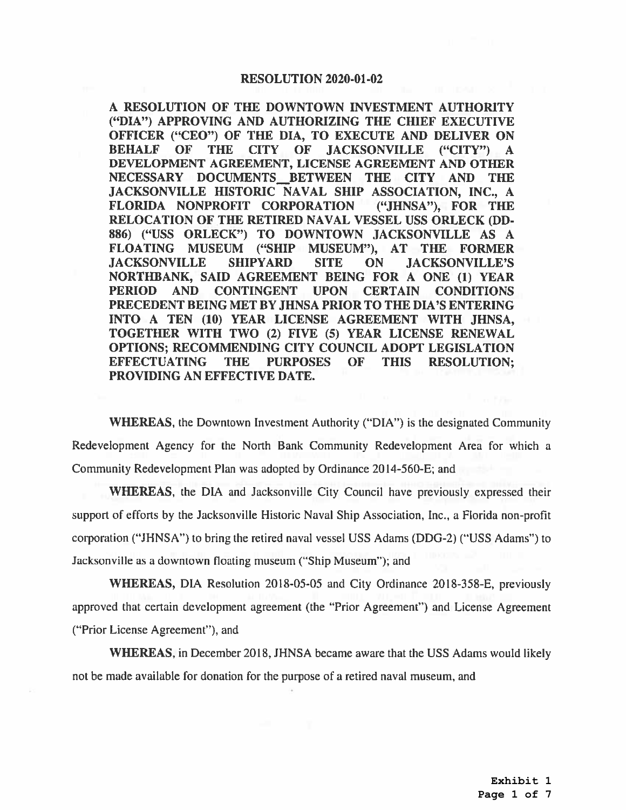**A RESOLUTION OF THE DOWNTOWN INVESTMENT AUTHORITY ("DIA") APPROVING AND AUTHORIZING THE CHIEF EXECUTIVE OFFICER ("CEO") OF THE DIA, TO EXECUTE AND DELIVER ON BEHALF OF THE CITY OF JACKSONVILLE ("CITY") A DEVELOPMENT AGREEMENT, LICENSE AGREEMENT AND OTHER NECESSARY DOCUMENTS ^BETWEEN THE CITY AND THE**  $-$ **JACKSONVILLE HISTORIC NAVAL SHIP ASSOCIATION, INC., A FLORIDA NONPROFIT CORPORATION ("JHNSA"), FOR THE RELOCATION OF THE RETIRED NAVAL VESSEL USS ORLECK (DD-886) ("USS ORLECK") TO DOWNTOWN JACKSONVILLE AS A FLOATING MUSEUM ("SHIP MUSEUM"), AT THE FORMER JACKSONVILLE SHIPYARD SITE ON JACKSONVILLE'S NORTHBANK, SAID AGREEMENT BEING FOR A ONE (1) YEAR PERIOD AND CONTINGENT UPON CERTAIN CONDITIONS PRECEDENT BEING METBY JHNSA PRIORTO THE DIA'S ENTERING INTO A TEN (10) YEAR LICENSE AGREEMENT WITH JHNSA, TOGETHER WITH TWO (2) FIVE (5) YEAR LICENSE RENEWAL OPTIONS; RECOMMENDING CITY COUNCIL ADOPT LEGISLATION EFFECTUATING THE PURPOSES OF THIS RESOLUTION; PROVIDING AN EFFECTIVE DATE.**

**WHEREAS,** the Downtown Investment Authority ("DIA") is the designated Community Redevelopment Agency for the North Bank Community Redevelopment Area for which <sup>a</sup> Community Redevelopment Plan was adopted by Ordinance 2014-560-E; and

**WHEREAS,** the **DIA** and Jacksonville City Council have previously expressed their support of efforts by the Jacksonville Historic Naval Ship Association, Inc., <sup>a</sup> Florida non-profit corporation ("JHNSA") to bring the retired naval vessel USS Adams (DDG-2) ("USS Adams") to Jacksonville as <sup>a</sup> downtown floating museum ("Ship Museum"); and

**WHEREAS, DIA** Resolution 2018-05-05 and City Ordinance 2018-358-E, previously approved that certain development agreemen<sup>t</sup> (the "Prior Agreement") and License Agreement ("Prior License Agreement"), and

**WHEREAS,** in December 2018, JHNSA became aware that the USS Adams would likely not be made available for donation for the purpose of <sup>a</sup> retired naval museum, and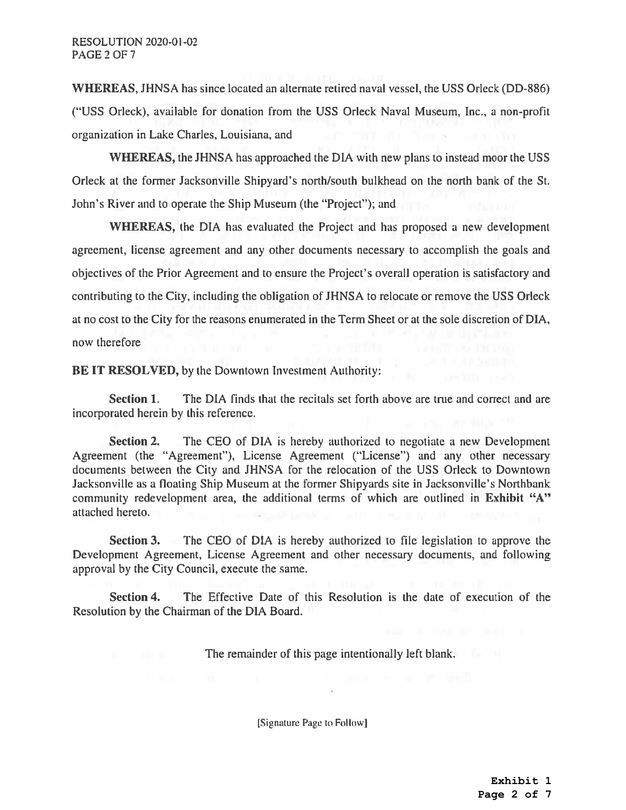**WHEREAS,** JHNSA has since located an alternate retired naval vessel, the USS Orleck (DD-886) ("USS Orleck), available for donation from the USS Orleck Naval Museum, Inc., <sup>a</sup> non-profit organization in Lake Charles, Louisiana, and

**WHEREAS,** the JHNSA has approached the DIA with new plans to instead moor the USS Orleck at the former Jacksonville Shipyard's north/south bulkhead on the north bank of the St. John's River and to operate the Ship Museum (the "Project"); and

**WHEREAS,** the DIA has evaluated the Project and has proposed <sup>a</sup> new development agreement, license agreemen<sup>t</sup> and any other documents necessary to accomplish the goals and objectives of the Prior Agreement and to ensure the Project's overall operation is satisfactory and contributing to the City, including the obligation of JHNSA to relocate or remove the USS Orleck at no cost to the City for the reasons enumerated in the Term Sheet or at the sole discretion of DIA, now therefore

**BE IT RESOLVED,** by the Downtown Investment Authority:

**Section 1.** The DIA finds that the recitals set forth above are true and correct and are incorporated herein by this reference.

The CEO of DIA is hereby authorized to negotiate <sup>a</sup> new Development Agreement (the "Agreement"), License Agreement ("License") and any other necessary documents between the City and JHNSA for the relocation of the USS Orleck to Downtown Jacksonville as <sup>a</sup> floating Ship Museum at the former Shipyards site in Jacksonville's Northbank community redevelopment area, the additional terms of which are outlined in **Exhibit** "A" attached hereto. **Section** 2.

The CEO of DIA is hereby authorized to file legislation to approve the Development Agreement, License Agreement and other necessary documents, and following approval by the City Council, execute the same. **Section 3.**

**Section 4.** The Effective Date of this Resolution is the date of execution of the Resolution by the Chairman of the DIA Board.

The remainder of this page intentionally left blank.

[Signature Page to Follow]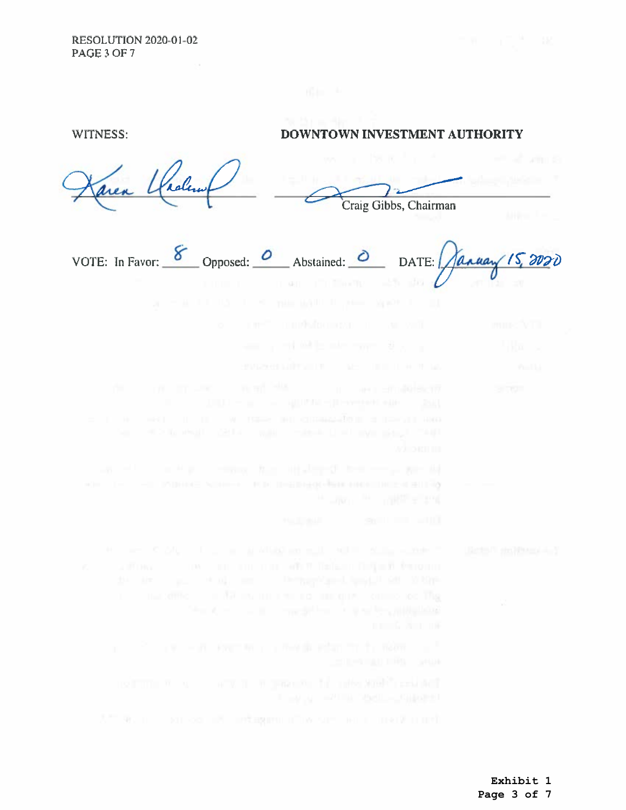# WITNESS: **DOWNTOWN INVESTMENT AUTHORITY**

Craig Gibbs, Chairman

VOTE: In Favor: 8 Opposed: 0 Abstained: 0 DATE:  $\sqrt{2a\mu a\mu}$  15, 2020

«он то - на эмине манн». из подвидении несписывшим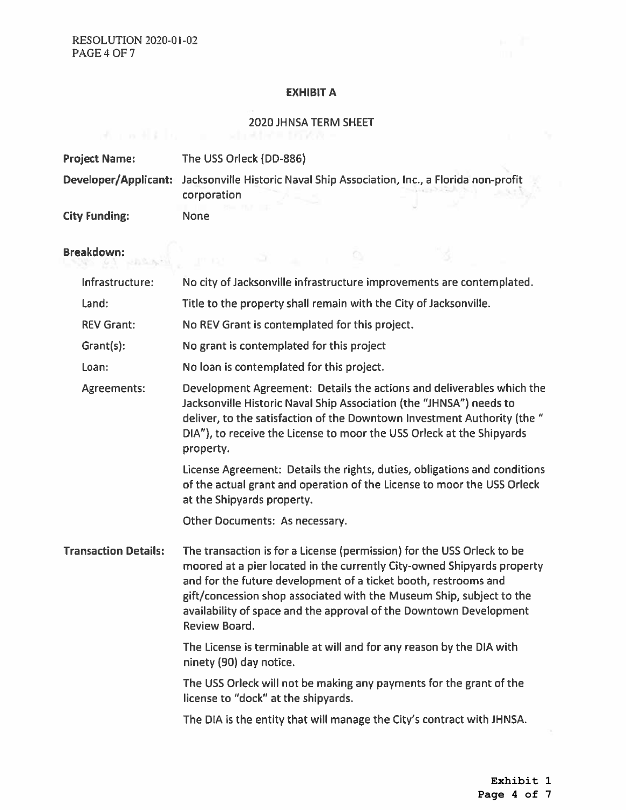## **EXHIBIT A**

# 2020 JHNSA TERM SHEET

| <b>Project Name:</b> | The USS Orleck (DD-886)                                                                                      |
|----------------------|--------------------------------------------------------------------------------------------------------------|
|                      | Developer/Applicant: Jacksonville Historic Naval Ship Association, Inc., a Florida non-profit<br>corporation |
| <b>City Funding:</b> | None                                                                                                         |

# **Breakdown:**

| Infrastructure:             | No city of Jacksonville infrastructure improvements are contemplated.                                                                                                                                                                                                                                                                                                               |
|-----------------------------|-------------------------------------------------------------------------------------------------------------------------------------------------------------------------------------------------------------------------------------------------------------------------------------------------------------------------------------------------------------------------------------|
| Land:                       | Title to the property shall remain with the City of Jacksonville.                                                                                                                                                                                                                                                                                                                   |
| <b>REV Grant:</b>           | No REV Grant is contemplated for this project.                                                                                                                                                                                                                                                                                                                                      |
| Grant(s):                   | No grant is contemplated for this project                                                                                                                                                                                                                                                                                                                                           |
| Loan:                       | No loan is contemplated for this project.                                                                                                                                                                                                                                                                                                                                           |
| Agreements:                 | Development Agreement: Details the actions and deliverables which the<br>Jacksonville Historic Naval Ship Association (the "JHNSA") needs to<br>deliver, to the satisfaction of the Downtown Investment Authority (the "<br>DIA"), to receive the License to moor the USS Orleck at the Shipyards<br>property.                                                                      |
|                             | License Agreement: Details the rights, duties, obligations and conditions<br>of the actual grant and operation of the License to moor the USS Orleck<br>at the Shipyards property.                                                                                                                                                                                                  |
|                             | Other Documents: As necessary.                                                                                                                                                                                                                                                                                                                                                      |
| <b>Transaction Details:</b> | The transaction is for a License (permission) for the USS Orleck to be<br>moored at a pier located in the currently City-owned Shipyards property<br>and for the future development of a ticket booth, restrooms and<br>gift/concession shop associated with the Museum Ship, subject to the<br>availability of space and the approval of the Downtown Development<br>Review Board. |
|                             | The License is terminable at will and for any reason by the DIA with<br>ninety (90) day notice.                                                                                                                                                                                                                                                                                     |
|                             | The USS Orleck will not be making any payments for the grant of the<br>license to "dock" at the shipyards.                                                                                                                                                                                                                                                                          |
|                             | The DIA is the entity that will manage the City's contract with JHNSA.                                                                                                                                                                                                                                                                                                              |
|                             |                                                                                                                                                                                                                                                                                                                                                                                     |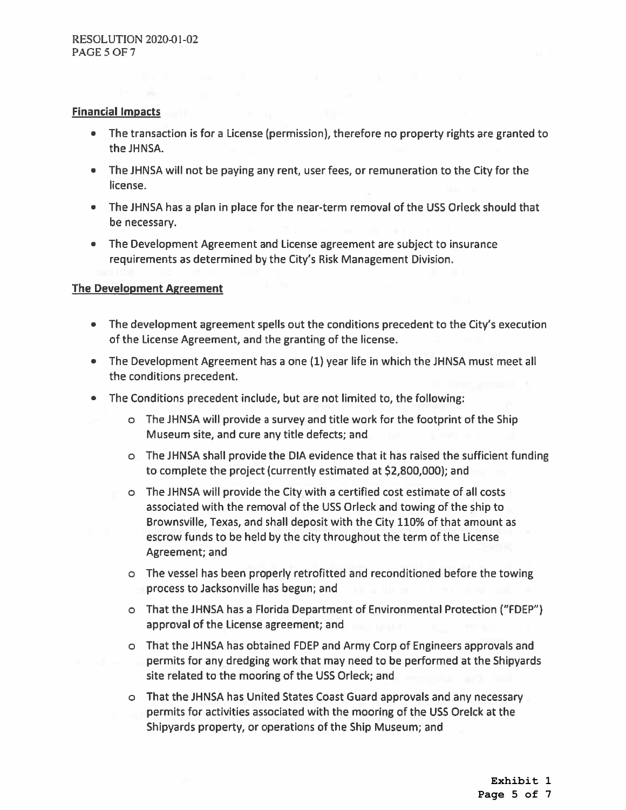### **Financial Impacts**

- The transaction is for <sup>a</sup> License (permission), therefore no property rights are granted to the JHNSA.
- The JHNSA will not be paying any rent, user fees, or remuneration to the City for the license.
- The JHNSA has <sup>a</sup> plan in place for the near-term removal of the USS Orleck should that be necessary.
- The Development Agreement and License agreement are subject to insurance requirements as determined by the City's Risk Management Division.

# **The Development Agreement**

- The development agreement spells out the conditions precedent to the City's execution of the License Agreement, and the granting of the license.
- The Development Agreement has <sup>a</sup> one (1) year life in which the JHNSA must meet all the conditions precedent.
- The Conditions precedent include, but are not limited to, the following:  $\bullet$ 
	- <sup>o</sup> The JHNSA will provide <sup>a</sup> survey and title work for the footprint of the Ship Museum site, and cure any title defects; and
	- <sup>o</sup> The JHNSA shall provide the DIA evidence that it has raised the sufficient funding to complete the project (currently estimated at \$2,800,000); and
	- <sup>o</sup> The JHNSA will provide the City with <sup>a</sup> certified cost estimate of all costs associated with the removal of the USS Orleck and towing of the ship to Brownsville, Texas, and shall deposit with the City 110% of that amount as escrow funds to be held by the city throughout the term of the License Agreement; and
	- <sup>o</sup> The vessel has been properly retrofitted and reconditioned before the towing process to Jacksonville has begun; and
	- <sup>o</sup> That the JHNSA has <sup>a</sup> Florida Department of Environmental Protection ("FDEP") approval of the License agreement; and
	- <sup>o</sup> That the JHNSA has obtained FDEP and Army Corp of Engineers approvals and permits for any dredging work that may need to be performed at the Shipyards site related to the mooring of the USS Orleck; and
	- <sup>o</sup> That the JHNSA has United States Coast Guard approvals and any necessary permits for activities associated with the mooring of the USS Orelck at the Shipyards property, or operations of the Ship Museum; and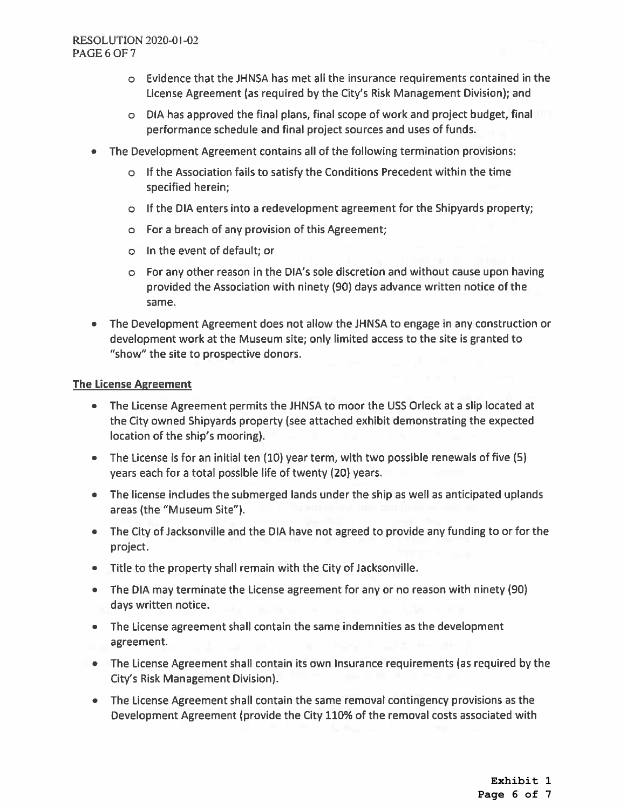- <sup>o</sup> Evidence that the JHNSA has met all the insurance requirements contained in the License Agreement (as required by the City's Risk Management Division); and
- $\circ$  DIA has approved the final plans, final scope of work and project budget, final performance schedule and final project sources and uses of funds.
- The Development Agreement contains all of the following termination provisions:
	- <sup>o</sup> If the Association fails to satisfy the Conditions Precedent within the time specified herein;
	- <sup>o</sup> If the DIA enters into <sup>a</sup> redevelopment agreement forthe Shipyards property;
	- <sup>o</sup> For <sup>a</sup> breach of any provision ofthis Agreement;
	- <sup>o</sup> In the event of default; or
	- <sup>o</sup> For any other reason in the DIA's sole discretion and without cause upon having provided the Association with ninety (90) days advance written notice of the same.
- The Development Agreement does not allow the JHNSA to engage in any construction or development work at the Museum site; only limited access to the site is granted to "show" the site to prospective donors.

# The License Agreement

- The License Agreement permits the JHNSA to moor the USS Orleck at <sup>a</sup> slip located at the City owned Shipyards property (see attached exhibit demonstrating the expected location of the ship's mooring).
- The License is for an initial ten (10) year term, with two possible renewals of five (5) years each for a total possible life of twenty (20) years.
- The license includes the submerged lands under the ship as well as anticipated uplands areas (the "Museum Site").
- The City of Jacksonville and the DIA have not agreed to provide any funding to or for the project.
- Title to the property shall remain with the City of Jacksonville.
- The DIA may terminate the License agreement for any or no reason with ninety (90) days written notice.
- The License agreement shall contain the same indemnities as the development agreement.
- The License Agreement shall contain its own Insurance requirements (as required by the City's Risk Management Division).
- The License Agreement shall contain the same removal contingency provisions as the Development Agreement (provide the City 110% of the removal costs associated with